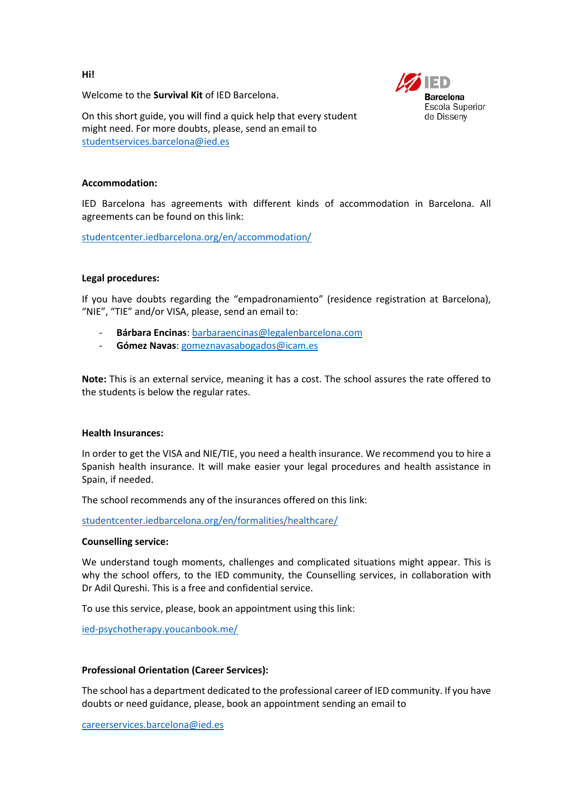**Hi!**

Welcome to the **Survival Kit** of IED Barcelona.



On this short guide, you will find a quick help that every student might need. For more doubts, please, send an email to [studentservices.barcelona@ied.es](mailto:studentservices.barcelona@ied.es)

### **Accommodation:**

IED Barcelona has agreements with different kinds of accommodation in Barcelona. All agreements can be found on this link:

<studentcenter.iedbarcelona.org/en/accommodation/>

## **Legal procedures:**

If you have doubts regarding the "empadronamiento" (residence registration at Barcelona), "NIE", "TIE" and/or VISA, please, send an email to:

- **Bárbara Encinas**[: barbaraencinas@legalenbarcelona.com](mailto:barbaraencinas@legalenbarcelona.com)
- **Gómez Navas**[: gomeznavasabogados@icam.es](mailto:gomeznavasabogados@icam.es)

**Note:** This is an external service, meaning it has a cost. The school assures the rate offered to the students is below the regular rates.

### **Health Insurances:**

In order to get the VISA and NIE/TIE, you need a health insurance. We recommend you to hire a Spanish health insurance. It will make easier your legal procedures and health assistance in Spain, if needed.

The school recommends any of the insurances offered on this link:

<studentcenter.iedbarcelona.org/en/formalities/healthcare/>

# **Counselling service:**

We understand tough moments, challenges and complicated situations might appear. This is why the school offers, to the IED community, the Counselling services, in collaboration with Dr Adil Qureshi. This is a free and confidential service.

To use this service, please, book an appointment using this link:

<ied-psychotherapy.youcanbook.me/>

## **Professional Orientation (Career Services):**

The school has a department dedicated to the professional career of IED community. If you have doubts or need guidance, please, book an appointment sending an email to

[careerservices.barcelona@ied.es](mailto:careerservices.barcelona@ied.es)